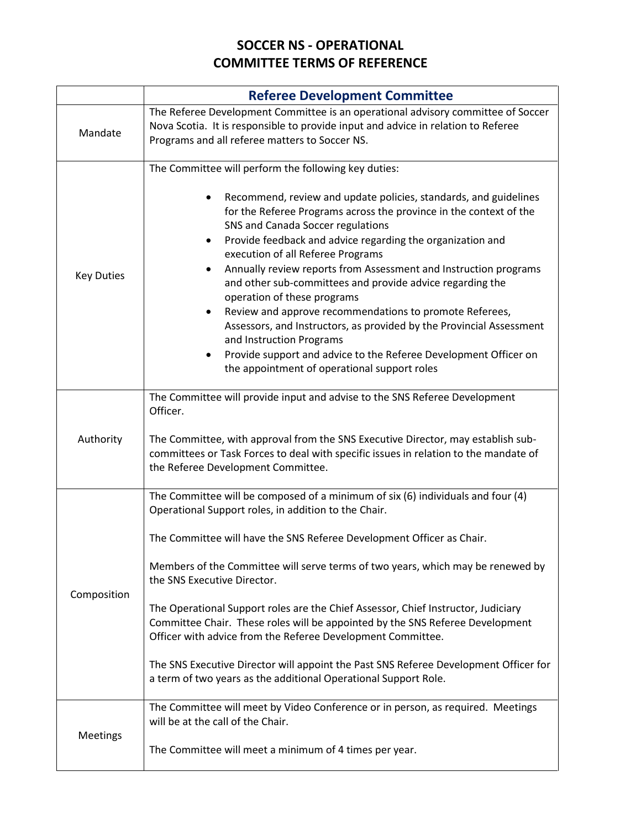## **SOCCER NS - OPERATIONAL COMMITTEE TERMS OF REFERENCE**

|                   | <b>Referee Development Committee</b>                                                                                                                                                                                                                                                                                                                                                                                                                                                                                                                                                                                                                                                                                                                                                      |
|-------------------|-------------------------------------------------------------------------------------------------------------------------------------------------------------------------------------------------------------------------------------------------------------------------------------------------------------------------------------------------------------------------------------------------------------------------------------------------------------------------------------------------------------------------------------------------------------------------------------------------------------------------------------------------------------------------------------------------------------------------------------------------------------------------------------------|
| Mandate           | The Referee Development Committee is an operational advisory committee of Soccer<br>Nova Scotia. It is responsible to provide input and advice in relation to Referee<br>Programs and all referee matters to Soccer NS.                                                                                                                                                                                                                                                                                                                                                                                                                                                                                                                                                                   |
| <b>Key Duties</b> | The Committee will perform the following key duties:<br>Recommend, review and update policies, standards, and guidelines<br>for the Referee Programs across the province in the context of the<br>SNS and Canada Soccer regulations<br>Provide feedback and advice regarding the organization and<br>execution of all Referee Programs<br>Annually review reports from Assessment and Instruction programs<br>and other sub-committees and provide advice regarding the<br>operation of these programs<br>Review and approve recommendations to promote Referees,<br>Assessors, and Instructors, as provided by the Provincial Assessment<br>and Instruction Programs<br>Provide support and advice to the Referee Development Officer on<br>the appointment of operational support roles |
| Authority         | The Committee will provide input and advise to the SNS Referee Development<br>Officer.<br>The Committee, with approval from the SNS Executive Director, may establish sub-<br>committees or Task Forces to deal with specific issues in relation to the mandate of<br>the Referee Development Committee.                                                                                                                                                                                                                                                                                                                                                                                                                                                                                  |
| Composition       | The Committee will be composed of a minimum of six (6) individuals and four (4)<br>Operational Support roles, in addition to the Chair.<br>The Committee will have the SNS Referee Development Officer as Chair.<br>Members of the Committee will serve terms of two years, which may be renewed by<br>the SNS Executive Director.<br>The Operational Support roles are the Chief Assessor, Chief Instructor, Judiciary<br>Committee Chair. These roles will be appointed by the SNS Referee Development<br>Officer with advice from the Referee Development Committee.<br>The SNS Executive Director will appoint the Past SNS Referee Development Officer for<br>a term of two years as the additional Operational Support Role.                                                        |
| <b>Meetings</b>   | The Committee will meet by Video Conference or in person, as required. Meetings<br>will be at the call of the Chair.<br>The Committee will meet a minimum of 4 times per year.                                                                                                                                                                                                                                                                                                                                                                                                                                                                                                                                                                                                            |